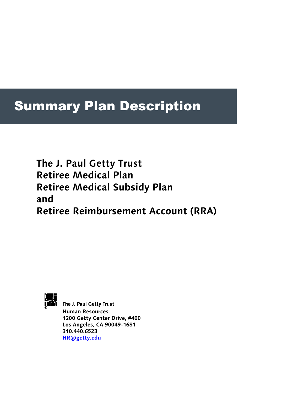# Summary Plan Description

 **The J. Paul Getty Trust Retiree Medical Plan Retiree Medical Subsidy Plan and Retiree Reimbursement Account (RRA)** 



The J. Paul Getty Trust **Human Resources 1200 Getty Center Drive, #400 Los Angeles, CA 90049-1681 310.440.6523 HR@getty.edu**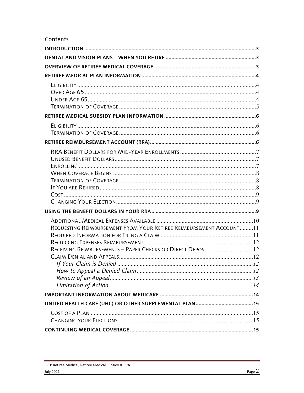## Contents

| REQUESTING REIMBURSEMENT FROM YOUR RETIREE REIMBURSEMENT ACCOUNT11<br>RECEIVING REIMBURSEMENTS - PAPER CHECKS OR DIRECT DEPOSIT12 |  |
|-----------------------------------------------------------------------------------------------------------------------------------|--|
|                                                                                                                                   |  |
|                                                                                                                                   |  |
|                                                                                                                                   |  |
|                                                                                                                                   |  |

 $\sim$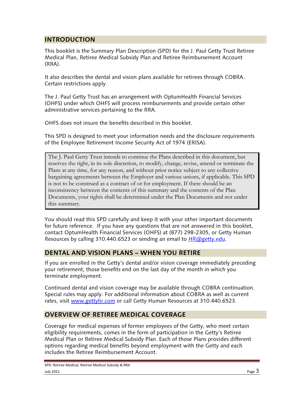## **INTRODUCTION**

This booklet is the Summary Plan Description (SPD) for the J. Paul Getty Trust Retiree Medical Plan, Retiree Medical Subsidy Plan and Retiree Reimbursement Account (RRA).

It also describes the dental and vision plans available for retirees through COBRA. Certain restrictions apply.

The J. Paul Getty Trust has an arrangement with OptumHealth Financial Services (OHFS) under which OHFS will process reimbursements and provide certain other administrative services pertaining to the RRA.

OHFS does not insure the benefits described in this booklet.

This SPD is designed to meet your information needs and the disclosure requirements of the Employee Retirement Income Security Act of 1974 (ERISA).

The J. Paul Getty Trust intends to continue the Plans described in this document, but reserves the right, in its sole discretion, to modify, change, revise, amend or terminate the Plans at any time, for any reason, and without prior notice subject to any collective bargaining agreements between the Employer and various unions, if applicable. This SPD is not to be construed as a contract of or for employment. If there should be an inconsistency between the contents of this summary and the contents of the Plan Documents, your rights shall be determined under the Plan Documents and not under this summary.

You should read this SPD carefully and keep it with your other important documents for future reference. If you have any questions that are not answered in this booklet, contact OptumHealth Financial Services (OHFS) at (877) 298-2305, or Getty Human Resources by calling 310.440.6523 or sending an email to **HR@getty.edu**.

#### **DENTAL AND VISION PLANS – WHEN YOU RETIRE**

If you are enrolled in the Getty's dental and/or vision coverage immediately preceding your retirement, those benefits end on the last day of the month in which you terminate employment.

Continued dental and vision coverage may be available through COBRA continuation. Special rules may apply. For additional information about COBRA as well as current rates, visit www.gettyhr.com or call Getty Human Resources at 310.440.6523.

#### **OVERVIEW OF RETIREE MEDICAL COVERAGE**

Coverage for medical expenses of former employees of the Getty, who meet certain eligibility requirements, comes in the form of participation in the Getty's Retiree Medical Plan or Retiree Medical Subsidy Plan. Each of those Plans provides different options regarding medical benefits beyond employment with the Getty and each includes the Retiree Reimbursement Account.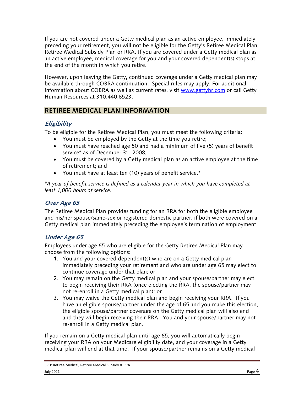If you are not covered under a Getty medical plan as an active employee, immediately preceding your retirement, you will not be eligible for the Getty's Retiree Medical Plan, Retiree Medical Subsidy Plan or RRA. If you are covered under a Getty medical plan as an active employee, medical coverage for you and your covered dependent(s) stops at the end of the month in which you retire.

However, upon leaving the Getty, continued coverage under a Getty medical plan may be available through COBRA continuation. Special rules may apply. For additional information about COBRA as well as current rates, visit www.gettyhr.com or call Getty Human Resources at 310.440.6523.

# **RETIREE MEDICAL PLAN INFORMATION**

## **Eligibility**

To be eligible for the Retiree Medical Plan, you must meet the following criteria:

- You must be employed by the Getty at the time you retire;
- You must have reached age 50 and had a minimum of five (5) years of benefit service\* as of December 31, 2008;
- You must be covered by a Getty medical plan as an active employee at the time of retirement; and
- You must have at least ten (10) years of benefit service.\*

*\*A year of benefit service is defined as a calendar year in which you have completed at least 1,000 hours of service.* 

## **Over Age 65**

The Retiree Medical Plan provides funding for an RRA for both the eligible employee and his/her spouse/same-sex or registered domestic partner, if both were covered on a Getty medical plan immediately preceding the employee's termination of employment.

# **Under Age 65**

Employees under age 65 who are eligible for the Getty Retiree Medical Plan may choose from the following options:

- 1. You and your covered dependent(s) who are on a Getty medical plan immediately preceding your retirement and who are under age 65 may elect to continue coverage under that plan; or
- 2. You may remain on the Getty medical plan and your spouse/partner may elect to begin receiving their RRA (once electing the RRA, the spouse/partner may not re-enroll in a Getty medical plan); or
- 3. You may waive the Getty medical plan and begin receiving your RRA. If you have an eligible spouse/partner under the age of 65 and you make this election, the eligible spouse/partner coverage on the Getty medical plan will also end and they will begin receiving their RRA. You and your spouse/partner may not re-enroll in a Getty medical plan.

If you remain on a Getty medical plan until age 65, you will automatically begin receiving your RRA on your Medicare eligibility date, and your coverage in a Getty medical plan will end at that time. If your spouse/partner remains on a Getty medical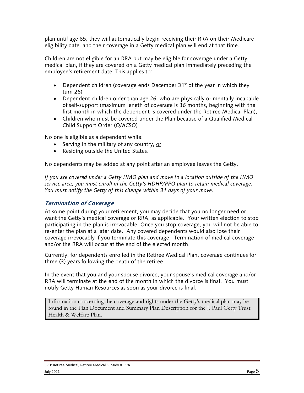plan until age 65, they will automatically begin receiving their RRA on their Medicare eligibility date, and their coverage in a Getty medical plan will end at that time.

Children are not eligible for an RRA but may be eligible for coverage under a Getty medical plan, if they are covered on a Getty medical plan immediately preceding the employee's retirement date. This applies to:

- Dependent children (coverage ends December  $31<sup>st</sup>$  of the year in which they turn 26)
- Dependent children older than age 26, who are physically or mentally incapable of self-support (maximum length of coverage is 36 months, beginning with the first month in which the dependent is covered under the Retiree Medical Plan),
- Children who must be covered under the Plan because of a Qualified Medical Child Support Order (QMCSO)

No one is eligible as a dependent while:

- Serving in the military of any country, or
- Residing outside the United States.

No dependents may be added at any point after an employee leaves the Getty.

*If you are covered under a Getty HMO plan and move to a location outside of the HMO service area, you must enroll in the Getty's HDHP/PPO plan to retain medical coverage. You must notify the Getty of this change within 31 days of your move.* 

#### **Termination of Coverage**

At some point during your retirement, you may decide that you no longer need or want the Getty's medical coverage or RRA, as applicable. Your written election to stop participating in the plan is irrevocable. Once you stop coverage, you will not be able to re-enter the plan at a later date. Any covered dependents would also lose their coverage irrevocably if you terminate this coverage. Termination of medical coverage and/or the RRA will occur at the end of the elected month.

Currently, for dependents enrolled in the Retiree Medical Plan, coverage continues for three (3) years following the death of the retiree.

In the event that you and your spouse divorce, your spouse's medical coverage and/or RRA will terminate at the end of the month in which the divorce is final. You must notify Getty Human Resources as soon as your divorce is final.

Information concerning the coverage and rights under the Getty's medical plan may be found in the Plan Document and Summary Plan Description for the J. Paul Getty Trust Health & Welfare Plan.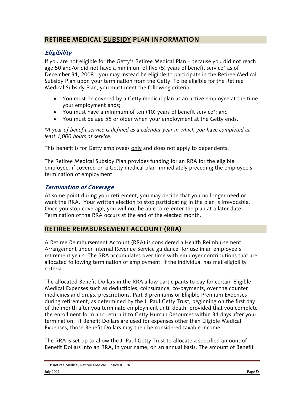## **RETIREE MEDICAL SUBSIDY PLAN INFORMATION**

## **Eligibility**

If you are not eligible for the Getty's Retiree Medical Plan - because you did not reach age 50 and/or did not have a minimum of five (5) years of benefit service\* as of December 31, 2008 - you may instead be eligible to participate in the Retiree Medical Subsidy Plan upon your termination from the Getty. To be eligible for the Retiree Medical Subsidy Plan, you must meet the following criteria:

- You must be covered by a Getty medical plan as an active employee at the time your employment ends;
- You must have a minimum of ten (10) years of benefit service\*; and
- You must be age 55 or older when your employment at the Getty ends.

*\*A year of benefit service is defined as a calendar year in which you have completed at least 1,000 hours of service.* 

This benefit is for Getty employees only and does not apply to dependents.

The Retiree Medical Subsidy Plan provides funding for an RRA for the eligible employee, if covered on a Getty medical plan immediately preceding the employee's termination of employment.

## **Termination of Coverage**

At some point during your retirement, you may decide that you no longer need or want the RRA. Your written election to stop participating in the plan is irrevocable. Once you stop coverage, you will not be able to re-enter the plan at a later date. Termination of the RRA occurs at the end of the elected month.

## **RETIREE REIMBURSEMENT ACCOUNT (RRA)**

A Retiree Reimbursement Account (RRA) is considered a Health Reimbursement Arrangement under Internal Revenue Service guidance, for use in an employee's retirement years. The RRA accumulates over time with employer contributions that are allocated following termination of employment, if the individual has met eligibility criteria.

The allocated Benefit Dollars in the RRA allow participants to pay for certain Eligible Medical Expenses such as deductibles, coinsurance, co-payments, over the counter medicines and drugs, prescriptions, Part B premiums or Eligible Premium Expenses during retirement, as determined by the J. Paul Getty Trust, beginning on the first day of the month after you terminate employment until death, provided that you complete the enrollment form and return it to Getty Human Resources within 31 days after your termination. If Benefit Dollars are used for expenses other than Eligible Medical Expenses, those Benefit Dollars may then be considered taxable income.

The RRA is set up to allow the J. Paul Getty Trust to allocate a specified amount of Benefit Dollars into an RRA, in your name, on an annual basis. The amount of Benefit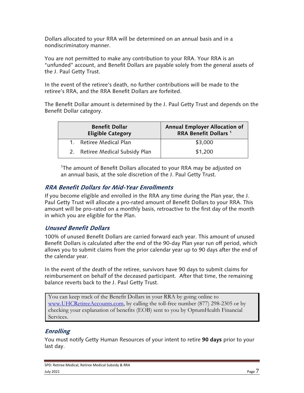Dollars allocated to your RRA will be determined on an annual basis and in a nondiscriminatory manner.

You are not permitted to make any contribution to your RRA. Your RRA is an "unfunded" account, and Benefit Dollars are payable solely from the general assets of the J. Paul Getty Trust.

In the event of the retiree's death, no further contributions will be made to the retiree's RRA, and the RRA Benefit Dollars are forfeited.

The Benefit Dollar amount is determined by the J. Paul Getty Trust and depends on the Benefit Dollar category.

| <b>Benefit Dollar</b><br><b>Eligible Category</b> | <b>Annual Employer Allocation of</b><br>RRA Benefit Dollars <sup>1</sup> |
|---------------------------------------------------|--------------------------------------------------------------------------|
| Retiree Medical Plan                              | \$3,000                                                                  |
| 2. Retiree Medical Subsidy Plan                   | \$1,200                                                                  |

<sup>1</sup>The amount of Benefit Dollars allocated to your RRA may be adjusted on an annual basis, at the sole discretion of the J. Paul Getty Trust.

## **RRA Benefit Dollars for Mid-Year Enrollments**

If you become eligible and enrolled in the RRA any time during the Plan year, the J. Paul Getty Trust will allocate a pro-rated amount of Benefit Dollars to your RRA. This amount will be pro-rated on a monthly basis, retroactive to the first day of the month in which you are eligible for the Plan.

## **Unused Benefit Dollars**

100% of unused Benefit Dollars are carried forward each year. This amount of unused Benefit Dollars is calculated after the end of the 90-day Plan year run off period, which allows you to submit claims from the prior calendar year up to 90 days after the end of the calendar year.

In the event of the death of the retiree, survivors have 90 days to submit claims for reimbursement on behalf of the deceased participant. After that time, the remaining balance reverts back to the J. Paul Getty Trust.

You can keep track of the Benefit Dollars in your RRA by going online to www.UHCRetireeAccounts.com, by calling the toll-free number (877) 298-2305 or by checking your explanation of benefits (EOB) sent to you by OptumHealth Financial Services.

## **Enrolling**

You must notify Getty Human Resources of your intent to retire **90 days** prior to your last day.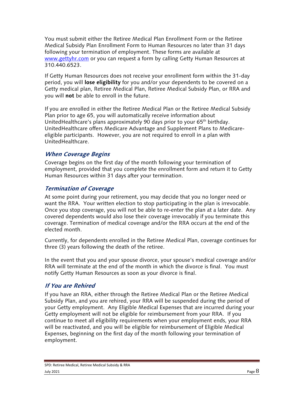You must submit either the Retiree Medical Plan Enrollment Form or the Retiree Medical Subsidy Plan Enrollment Form to Human Resources no later than 31 days following your termination of employment. These forms are available at www.gettyhr.com or you can request a form by calling Getty Human Resources at 310.440.6523.

If Getty Human Resources does not receive your enrollment form within the 31-day period, you will **lose eligibility** for you and/or your dependents to be covered on a Getty medical plan, Retiree Medical Plan, Retiree Medical Subsidy Plan, or RRA and you will **not** be able to enroll in the future.

If you are enrolled in either the Retiree Medical Plan or the Retiree Medical Subsidy Plan prior to age 65, you will automatically receive information about UnitedHealthcare's plans approximately 90 days prior to your 65<sup>th</sup> birthday. UnitedHealthcare offers Medicare Advantage and Supplement Plans to Medicareeligible participants. However, you are not required to enroll in a plan with UnitedHealthcare.

#### **When Coverage Begins**

Coverage begins on the first day of the month following your termination of employment, provided that you complete the enrollment form and return it to Getty Human Resources within 31 days after your termination.

#### **Termination of Coverage**

At some point during your retirement, you may decide that you no longer need or want the RRA. Your written election to stop participating in the plan is irrevocable. Once you stop coverage, you will not be able to re-enter the plan at a later date. Any covered dependents would also lose their coverage irrevocably if you terminate this coverage. Termination of medical coverage and/or the RRA occurs at the end of the elected month.

Currently, for dependents enrolled in the Retiree Medical Plan, coverage continues for three (3) years following the death of the retiree.

In the event that you and your spouse divorce, your spouse's medical coverage and/or RRA will terminate at the end of the month in which the divorce is final. You must notify Getty Human Resources as soon as your divorce is final.

#### **If You are Rehired**

If you have an RRA, either through the Retiree Medical Plan or the Retiree Medical Subsidy Plan, and you are rehired, your RRA will be suspended during the period of your Getty employment. Any Eligible Medical Expenses that are incurred during your Getty employment will not be eligible for reimbursement from your RRA. If you continue to meet all eligibility requirements when your employment ends, your RRA will be reactivated, and you will be eligible for reimbursement of Eligible Medical Expenses, beginning on the first day of the month following your termination of employment.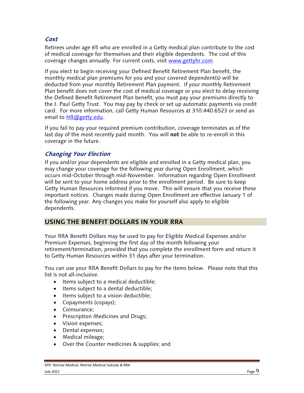## **Cost**

Retirees under age 65 who are enrolled in a Getty medical plan contribute to the cost of medical coverage for themselves and their eligible dependents. The cost of this coverage changes annually. For current costs, visit www.gettyhr.com.

If you elect to begin receiving your Defined Benefit Retirement Plan benefit, the monthly medical plan premiums for you and your covered dependent(s) will be deducted from your monthly Retirement Plan payment. If your monthly Retirement Plan benefit does not cover the cost of medical coverage or you elect to delay receiving the Defined Benefit Retirement Plan benefit, you must pay your premiums directly to the J. Paul Getty Trust. You may pay by check or set up automatic payments via credit card. For more information, call Getty Human Resources at 310.440.6523 or send an email to **HR**@getty.edu.

If you fail to pay your required premium contribution, coverage terminates as of the last day of the most recently paid month. You will **not** be able to re-enroll in this coverage in the future.

#### **Changing Your Election**

If you and/or your dependents are eligible and enrolled in a Getty medical plan, you may change your coverage for the following year during Open Enrollment, which occurs mid-October through mid-November. Information regarding Open Enrollment will be sent to your home address prior to the enrollment period. Be sure to keep Getty Human Resources informed if you move. This will ensure that you receive these important notices. Changes made during Open Enrollment are effective January 1 of the following year. Any changes you make for yourself also apply to eligible dependents.

#### **USING THE BENEFIT DOLLARS IN YOUR RRA**

Your RRA Benefit Dollars may be used to pay for Eligible Medical Expenses and/or Premium Expenses, beginning the first day of the month following your retirement/termination, provided that you complete the enrollment form and return it to Getty Human Resources within 31 days after your termination.

You can use your RRA Benefit Dollars to pay for the items below. Please note that this list is not all-inclusive.

- Items subject to a medical deductible;
- $\bullet$  Items subject to a dental deductible;
- Items subject to a vision deductible;
- Copayments (copays);
- Coinsurance;
- Prescription Medicines and Drugs;
- Vision expenses;
- Dental expenses;
- Medical mileage;
- Over the Counter medicines & supplies; and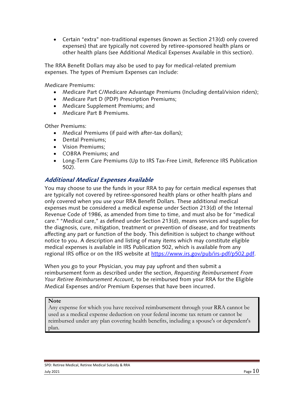Certain "extra" non-traditional expenses (known as Section 213(d) only covered expenses) that are typically not covered by retiree-sponsored health plans or other health plans (see Additional Medical Expenses Available in this section).

The RRA Benefit Dollars may also be used to pay for medical-related premium expenses. The types of Premium Expenses can include:

Medicare Premiums:

- Medicare Part C/Medicare Advantage Premiums (Including dental/vision riders);
- Medicare Part D (PDP) Prescription Premiums;
- Medicare Supplement Premiums; and
- Medicare Part B Premiums.

Other Premiums:

- Medical Premiums (if paid with after-tax dollars);
- Dental Premiums:
- Vision Premiums:
- COBRA Premiums: and
- Long-Term Care Premiums (Up to IRS Tax-Free Limit, Reference IRS Publication 502).

#### **Additional Medical Expenses Available**

You may choose to use the funds in your RRA to pay for certain medical expenses that are typically not covered by retiree-sponsored health plans or other health plans and only covered when you use your RRA Benefit Dollars. These additional medical expenses must be considered a medical expense under Section 213(d) of the Internal Revenue Code of 1986, as amended from time to time, and must also be for "medical care." "Medical care," as defined under Section 213(d), means services and supplies for the diagnosis, cure, mitigation, treatment or prevention of disease, and for treatments affecting any part or function of the body. This definition is subject to change without notice to you. A description and listing of many items which may constitute eligible medical expenses is available in IRS Publication 502, which is available from any regional IRS office or on the IRS website at https://www.irs.gov/pub/irs-pdf/p502.pdf.

When you go to your Physician, you may pay upfront and then submit a reimbursement form as described under the section, *Requesting Reimbursement From Your Retiree Reimbursement Account*, to be reimbursed from your RRA for the Eligible Medical Expenses and/or Premium Expenses that have been incurred.

#### **Note**

Any expense for which you have received reimbursement through your RRA cannot be used as a medical expense deduction on your federal income tax return or cannot be reimbursed under any plan covering health benefits, including a spouse's or dependent's plan.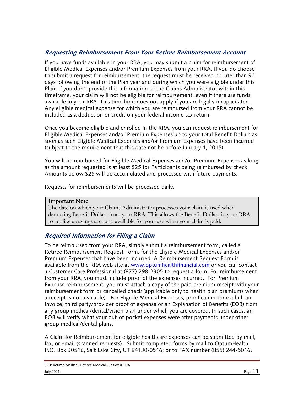## **Requesting Reimbursement From Your Retiree Reimbursement Account**

If you have funds available in your RRA, you may submit a claim for reimbursement of Eligible Medical Expenses and/or Premium Expenses from your RRA. If you do choose to submit a request for reimbursement, the request must be received no later than 90 days following the end of the Plan year and during which you were eligible under this Plan. If you don't provide this information to the Claims Administrator within this timeframe, your claim will not be eligible for reimbursement, even if there are funds available in your RRA. This time limit does not apply if you are legally incapacitated. Any eligible medical expense for which you are reimbursed from your RRA cannot be included as a deduction or credit on your federal income tax return.

Once you become eligible and enrolled in the RRA, you can request reimbursement for Eligible Medical Expenses and/or Premium Expenses up to your total Benefit Dollars as soon as such Eligible Medical Expenses and/or Premium Expenses have been incurred (subject to the requirement that this date not be before January 1, 2015).

You will be reimbursed for Eligible Medical Expenses and/or Premium Expenses as long as the amount requested is at least \$25 for Participants being reimbursed by check. Amounts below \$25 will be accumulated and processed with future payments.

Requests for reimbursements will be processed daily.

#### **Important Note**

The date on which your Claims Administrator processes your claim is used when deducting Benefit Dollars from your RRA. This allows the Benefit Dollars in your RRA to act like a savings account, available for your use when your claim is paid.

## **Required Information for Filing a Claim**

To be reimbursed from your RRA, simply submit a reimbursement form, called a Retiree Reimbursement Request Form, for the Eligible Medical Expenses and/or Premium Expenses that have been incurred. A Reimbursement Request Form is available from the RRA web site at www.optumhealthfinancial.com or you can contact a Customer Care Professional at (877) 298-2305 to request a form. For reimbursement from your RRA, you must include proof of the expenses incurred. For Premium Expense reimbursement, you must attach a copy of the paid premium receipt with your reimbursement form or cancelled check (applicable only to health plan premiums when a receipt is not available). For Eligible Medical Expenses, proof can include a bill, an invoice, third party/provider proof of expense or an Explanation of Benefits (EOB) from any group medical/dental/vision plan under which you are covered. In such cases, an EOB will verify what your out-of-pocket expenses were after payments under other group medical/dental plans.

A Claim for Reimbursement for eligible healthcare expenses can be submitted by mail, fax, or email (scanned requests). Submit completed forms by mail to OptumHealth, P.O. Box 30516, Salt Lake City, UT 84130-0516; or to FAX number (855) 244-5016.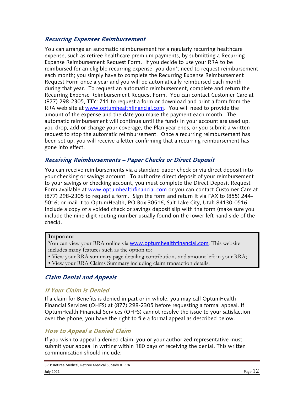#### **Recurring Expenses Reimbursement**

You can arrange an automatic reimbursement for a regularly recurring healthcare expense, such as retiree healthcare premium payments, by submitting a Recurring Expense Reimbursement Request Form. If you decide to use your RRA to be reimbursed for an eligible recurring expense, you don't need to request reimbursement each month; you simply have to complete the Recurring Expense Reimbursement Request Form once a year and you will be automatically reimbursed each month during that year. To request an automatic reimbursement, complete and return the Recurring Expense Reimbursement Request Form. You can contact Customer Care at (877) 298-2305, TTY: 711 to request a form or download and print a form from the RRA web site at www.optumhealthfinancial.com. You will need to provide the amount of the expense and the date you make the payment each month. The automatic reimbursement will continue until the funds in your account are used up, you drop, add or change your coverage, the Plan year ends, or you submit a written request to stop the automatic reimbursement. Once a recurring reimbursement has been set up, you will receive a letter confirming that a recurring reimbursement has gone into effect.

#### **Receiving Reimbursements – Paper Checks or Direct Deposit**

You can receive reimbursements via a standard paper check or via direct deposit into your checking or savings account. To authorize direct deposit of your reimbursement to your savings or checking account, you must complete the Direct Deposit Request Form available at www.optumhealthfinancial.com or you can contact Customer Care at (877) 298-2305 to request a form. Sign the form and return it via FAX to (855) 244- 5016; or mail it to OptumHealth, PO Box 30516, Salt Lake City, Utah 84130-0516. Include a copy of a voided check or savings deposit slip with the form (make sure you include the nine digit routing number usually found on the lower left hand side of the check).

#### **Important**

You can view your RRA online via **www.optumhealthfinancial.com**. This website includes many features such as the option to:

- View your RRA summary page detailing contributions and amount left in your RRA;
- View your RRA Claims Summary including claim transaction details.

## **Claim Denial and Appeals**

#### **If Your Claim is Denied**

If a claim for Benefits is denied in part or in whole, you may call OptumHealth Financial Services (OHFS) at (877) 298-2305 before requesting a formal appeal. If OptumHealth Financial Services (OHFS) cannot resolve the issue to your satisfaction over the phone, you have the right to file a formal appeal as described below.

#### **How to Appeal a Denied Claim**

If you wish to appeal a denied claim, you or your authorized representative must submit your appeal in writing within 180 days of receiving the denial. This written communication should include: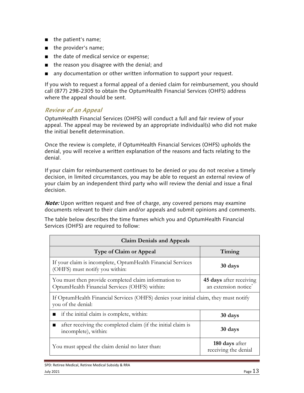- the patient's name;
- the provider's name;
- the date of medical service or expense;
- the reason you disagree with the denial; and
- any documentation or other written information to support your request.

If you wish to request a formal appeal of a denied claim for reimbursement, you should call (877) 298-2305 to obtain the OptumHealth Financial Services (OHFS) address where the appeal should be sent.

#### **Review of an Appeal**

OptumHealth Financial Services (OHFS) will conduct a full and fair review of your appeal. The appeal may be reviewed by an appropriate individual(s) who did not make the initial benefit determination.

Once the review is complete, if OptumHealth Financial Services (OHFS) upholds the denial, you will receive a written explanation of the reasons and facts relating to the denial.

If your claim for reimbursement continues to be denied or you do not receive a timely decision, in limited circumstances, you may be able to request an external review of your claim by an independent third party who will review the denial and issue a final decision.

*Note:* Upon written request and free of charge, any covered persons may examine documents relevant to their claim and/or appeals and submit opinions and comments.

The table below describes the time frames which you and OptumHealth Financial Services (OHFS) are required to follow:

| <b>Claim Denials and Appeals</b>                                                                           |                                                             |  |
|------------------------------------------------------------------------------------------------------------|-------------------------------------------------------------|--|
| <b>Type of Claim or Appeal</b>                                                                             | Timing                                                      |  |
| If your claim is incomplete, Optum Health Financial Services<br>(OHFS) must notify you within:             | 30 days                                                     |  |
| You must then provide completed claim information to<br>OptumHealth Financial Services (OHFS) within:      | 45 days after receiving<br>an extension notice <sup>*</sup> |  |
| If OptumHealth Financial Services (OHFS) denies your initial claim, they must notify<br>you of the denial: |                                                             |  |
| if the initial claim is complete, within:                                                                  | 30 days                                                     |  |
| after receiving the completed claim (if the initial claim is<br>incomplete), within:                       | 30 days                                                     |  |
| You must appeal the claim denial no later than:                                                            | 180 days after<br>receiving the denial                      |  |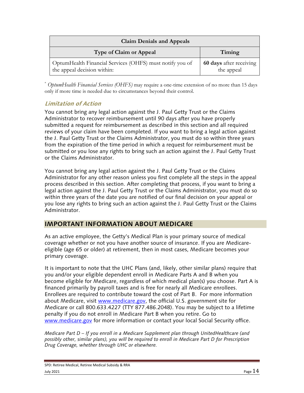| <b>Claim Denials and Appeals</b>                                                        |                                       |  |
|-----------------------------------------------------------------------------------------|---------------------------------------|--|
| <b>Type of Claim or Appeal</b>                                                          | Timing                                |  |
| OptumHealth Financial Services (OHFS) must notify you of<br>the appeal decision within: | 60 days after receiving<br>the appeal |  |

\* *OptumHealth Financial Services (OHFS)* may require a one-time extension of no more than 15 days only if more time is needed due to circumstances beyond their control.

## **Limitation of Action**

You cannot bring any legal action against the J. Paul Getty Trust or the Claims Administrator to recover reimbursement until 90 days after you have properly submitted a request for reimbursement as described in this section and all required reviews of your claim have been completed. If you want to bring a legal action against the J. Paul Getty Trust or the Claims Administrator, you must do so within three years from the expiration of the time period in which a request for reimbursement must be submitted or you lose any rights to bring such an action against the J. Paul Getty Trust or the Claims Administrator.

You cannot bring any legal action against the J. Paul Getty Trust or the Claims Administrator for any other reason unless you first complete all the steps in the appeal process described in this section. After completing that process, if you want to bring a legal action against the J. Paul Getty Trust or the Claims Administrator, you must do so within three years of the date you are notified of our final decision on your appeal or you lose any rights to bring such an action against the J. Paul Getty Trust or the Claims Administrator.

## **IMPORTANT INFORMATION ABOUT MEDICARE**

As an active employee, the Getty's Medical Plan is your primary source of medical coverage whether or not you have another source of insurance. If you are Medicareeligible (age 65 or older) at retirement, then in most cases, Medicare becomes your primary coverage.

It is important to note that the UHC Plans (and, likely, other similar plans) require that you and/or your eligible dependent enroll in Medicare Parts A and B when you become eligible for Medicare, regardless of which medical plan(s) you choose. Part A is financed primarily by payroll taxes and is free for nearly all Medicare enrollees. Enrollees are required to contribute toward the cost of Part B. For more information about Medicare, visit www.medicare.gov, the official U.S. government site for Medicare or call 800.633.4227 (TTY 877.486.2048). You may be subject to a lifetime penalty if you do not enroll in Medicare Part B when you retire. Go to www.medicare.gov for more information or contact your local Social Security office.

*Medicare Part D – If you enroll in a Medicare Supplement plan through UnitedHealthcare (and possibly other, similar plans), you will be required to enroll in Medicare Part D for Prescription Drug Coverage, whether through UHC or elsewhere.*